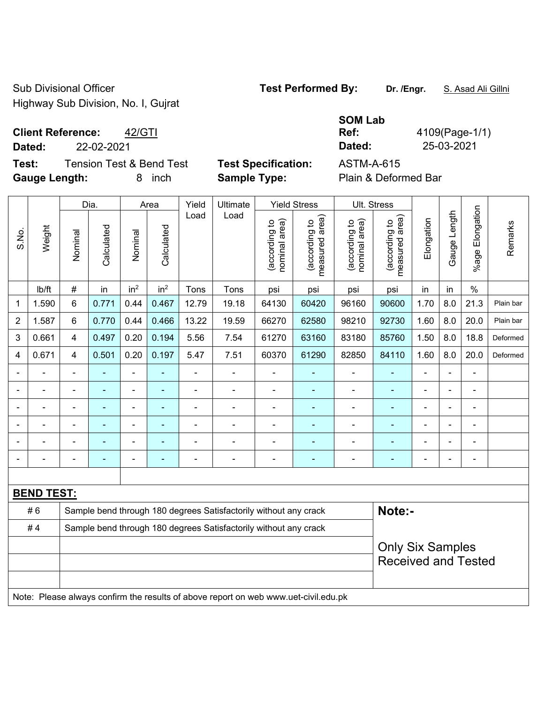Sub Divisional Officer **Test Performed By:** Dr. /Engr. **S. Asad Ali Gillni** Highway Sub Division, No. I, Gujrat

# **Client Reference:** 42/GTI

**Test:** Tension Test & Bend Test **Test Specification:** ASTM-A-615 **Gauge Length:** 8 inch **Sample Type:** Plain & Deformed Bar

|                          |            | <b>SOM Lab</b> |                |
|--------------------------|------------|----------------|----------------|
| <b>Client Reference:</b> | 42/GTI     | Ref:           | 4109(Page-1/1) |
| Dated:                   | 22-02-2021 | Dated:         | 25-03-2021     |

|                |                   |                | Dia.           |                 | Area                     | Yield          | Ultimate                                                                            |                                | <b>Yield Stress</b>             |                                | Ult. Stress                     |                |                |                 |           |
|----------------|-------------------|----------------|----------------|-----------------|--------------------------|----------------|-------------------------------------------------------------------------------------|--------------------------------|---------------------------------|--------------------------------|---------------------------------|----------------|----------------|-----------------|-----------|
| S.No.          | Weight            | Nominal        | Calculated     | Nominal         | Calculated               | Load           | Load                                                                                | nominal area)<br>(according to | measured area)<br>(according to | (according to<br>nominal area) | (according to<br>measured area) | Elongation     | Gauge Length   | %age Elongation | Remarks   |
|                | Ib/ft             | #              | in             | in <sup>2</sup> | in <sup>2</sup>          | Tons           | Tons                                                                                | psi                            | psi                             | psi                            | psi                             | in             | in             | $\%$            |           |
| 1              | 1.590             | $6\phantom{1}$ | 0.771          | 0.44            | 0.467                    | 12.79          | 19.18                                                                               | 64130                          | 60420                           | 96160                          | 90600                           | 1.70           | 8.0            | 21.3            | Plain bar |
| $\overline{c}$ | 1.587             | $\,6\,$        | 0.770          | 0.44            | 0.466                    | 13.22          | 19.59                                                                               | 66270                          | 62580                           | 98210                          | 92730                           | 1.60           | 8.0            | 20.0            | Plain bar |
| 3              | 0.661             | $\overline{4}$ | 0.497          | 0.20            | 0.194                    | 5.56           | 7.54                                                                                | 61270                          | 63160                           | 83180                          | 85760                           | 1.50           | 8.0            | 18.8            | Deformed  |
| 4              | 0.671             | 4              | 0.501          | 0.20            | 0.197                    | 5.47           | 7.51                                                                                | 60370                          | 61290                           | 82850                          | 84110                           | 1.60           | 8.0            | 20.0            | Deformed  |
| $\blacksquare$ | $\blacksquare$    | $\blacksquare$ | $\blacksquare$ | ä,              | ÷,                       | $\blacksquare$ | $\blacksquare$                                                                      | $\blacksquare$                 | $\blacksquare$                  | $\blacksquare$                 | ä,                              | $\blacksquare$ | ÷.             | $\blacksquare$  |           |
| $\blacksquare$ | $\blacksquare$    | $\blacksquare$ | $\blacksquare$ | $\blacksquare$  | $\blacksquare$           | $\blacksquare$ | $\blacksquare$                                                                      | $\overline{\phantom{a}}$       | $\blacksquare$                  | $\blacksquare$                 | $\blacksquare$                  | $\blacksquare$ | $\blacksquare$ | $\blacksquare$  |           |
| $\blacksquare$ | $\blacksquare$    | $\blacksquare$ | $\blacksquare$ | $\blacksquare$  | $\blacksquare$           | $\blacksquare$ | $\blacksquare$                                                                      | $\blacksquare$                 | ÷                               | $\blacksquare$                 | $\blacksquare$                  | $\blacksquare$ | Ě.             | ä,              |           |
|                |                   |                |                | $\blacksquare$  |                          |                | $\blacksquare$                                                                      | $\blacksquare$                 | $\blacksquare$                  |                                | $\blacksquare$                  | $\blacksquare$ |                | $\blacksquare$  |           |
|                |                   |                |                | $\blacksquare$  |                          |                |                                                                                     | $\blacksquare$                 |                                 |                                | ÷,                              | Ē,             |                | Ē,              |           |
| $\blacksquare$ |                   | $\blacksquare$ | ٠              | $\blacksquare$  | $\overline{\phantom{0}}$ |                | $\blacksquare$                                                                      | $\overline{a}$                 | $\overline{\phantom{0}}$        | $\blacksquare$                 | $\blacksquare$                  | $\blacksquare$ | $\blacksquare$ | $\blacksquare$  |           |
|                |                   |                |                |                 |                          |                |                                                                                     |                                |                                 |                                |                                 |                |                |                 |           |
|                | <b>BEND TEST:</b> |                |                |                 |                          |                |                                                                                     |                                |                                 |                                |                                 |                |                |                 |           |
|                | #6                |                |                |                 |                          |                | Sample bend through 180 degrees Satisfactorily without any crack                    |                                |                                 |                                | Note:-                          |                |                |                 |           |
|                | #4                |                |                |                 |                          |                | Sample bend through 180 degrees Satisfactorily without any crack                    |                                |                                 |                                |                                 |                |                |                 |           |
|                |                   |                |                |                 |                          |                |                                                                                     |                                |                                 |                                | <b>Only Six Samples</b>         |                |                |                 |           |
|                |                   |                |                |                 |                          |                |                                                                                     |                                |                                 |                                | <b>Received and Tested</b>      |                |                |                 |           |
|                |                   |                |                |                 |                          |                |                                                                                     |                                |                                 |                                |                                 |                |                |                 |           |
|                |                   |                |                |                 |                          |                | Note: Please always confirm the results of above report on web www.uet-civil.edu.pk |                                |                                 |                                |                                 |                |                |                 |           |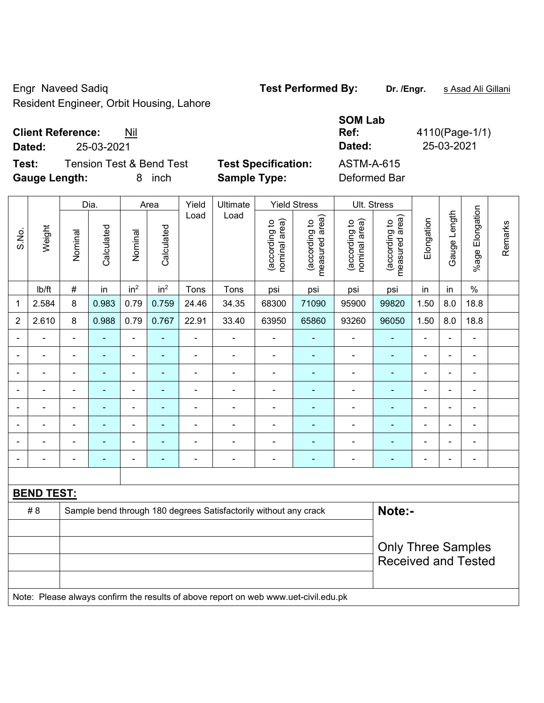Engr Naveed Sadiq **Test Performed By: Dr. /Engr.** s Asad Ali Gillani Resident Engineer, Orbit Housing, Lahore

### **Client Reference:** Nil

**Test:** Tension Test & Bend Test **Test Specification: Gauge Length:** 8 inch **Sample Type:** Deformed Bar

|                                              |                            | <b>SOM Lab</b> |            |  |  |  |  |  |  |  |
|----------------------------------------------|----------------------------|----------------|------------|--|--|--|--|--|--|--|
| <b>Client Reference:</b><br>Nil              |                            |                |            |  |  |  |  |  |  |  |
| Dated:<br>25-03-2021                         |                            | Dated:         | 25-03-2021 |  |  |  |  |  |  |  |
| Test:<br><b>Tension Test &amp; Bend Test</b> | <b>Test Specification:</b> | ASTM-A-615     |            |  |  |  |  |  |  |  |
|                                              |                            |                |            |  |  |  |  |  |  |  |

|                |                                                                                     | Dia.                     |                | Area                         | Yield           | Ultimate       |                                                                  | <b>Yield Stress</b>            |                                 | Ult. Stress                    |                                 |                |                |                 |         |
|----------------|-------------------------------------------------------------------------------------|--------------------------|----------------|------------------------------|-----------------|----------------|------------------------------------------------------------------|--------------------------------|---------------------------------|--------------------------------|---------------------------------|----------------|----------------|-----------------|---------|
| S.No.          | Weight                                                                              | Nominal                  | Calculated     | Nominal                      | Calculated      | Load           | Load                                                             | nominal area)<br>(according to | (according to<br>measured area) | (according to<br>nominal area) | (according to<br>measured area) | Elongation     | Gauge Length   | %age Elongation | Remarks |
|                | Ib/ft                                                                               | $\#$                     | in             | in <sup>2</sup>              | in <sup>2</sup> | Tons           | Tons                                                             | psi                            | psi                             | psi                            | psi                             | in             | in             | $\%$            |         |
| 1              | 2.584                                                                               | 8                        | 0.983          | 0.79                         | 0.759           | 24.46          | 34.35                                                            | 68300                          | 71090                           | 95900                          | 99820                           | 1.50           | 8.0            | 18.8            |         |
| $\overline{2}$ | 2.610                                                                               | 8                        | 0.988          | 0.79                         | 0.767           | 22.91          | 33.40                                                            | 63950                          | 65860                           | 93260                          | 96050                           | 1.50           | 8.0            | 18.8            |         |
|                |                                                                                     |                          |                | $\qquad \qquad \blacksquare$ |                 | $\blacksquare$ | $\blacksquare$                                                   |                                |                                 |                                | $\blacksquare$                  |                |                | $\blacksquare$  |         |
|                |                                                                                     | $\blacksquare$           | $\blacksquare$ | ÷,                           | ÷               | $\blacksquare$ | ä,                                                               | $\blacksquare$                 | $\blacksquare$                  | $\blacksquare$                 | ÷,                              | $\blacksquare$ | $\blacksquare$ | $\blacksquare$  |         |
| $\blacksquare$ | ۰                                                                                   | $\blacksquare$           | ÷              | ÷                            | $\blacksquare$  | $\blacksquare$ | ÷                                                                | $\blacksquare$                 | $\blacksquare$                  | $\overline{\phantom{a}}$       | $\blacksquare$                  | ÷              | $\blacksquare$ | $\blacksquare$  |         |
|                |                                                                                     | $\overline{\phantom{a}}$ | ÷              | $\blacksquare$               | ٠               | $\blacksquare$ | ÷                                                                | $\blacksquare$                 |                                 | $\blacksquare$                 | $\blacksquare$                  | $\blacksquare$ | $\blacksquare$ | $\blacksquare$  |         |
|                |                                                                                     | $\blacksquare$           | $\blacksquare$ | $\blacksquare$               | $\blacksquare$  | $\blacksquare$ | $\blacksquare$                                                   | $\blacksquare$                 |                                 | $\blacksquare$                 | $\blacksquare$                  | Ē,             | $\blacksquare$ | $\blacksquare$  |         |
|                |                                                                                     |                          |                | $\overline{\phantom{0}}$     |                 | $\blacksquare$ | $\blacksquare$                                                   |                                |                                 |                                | $\blacksquare$                  |                |                | $\blacksquare$  |         |
|                |                                                                                     |                          |                | $\overline{\phantom{a}}$     |                 |                | $\blacksquare$                                                   | $\blacksquare$                 | $\blacksquare$                  | -                              | $\blacksquare$                  | $\blacksquare$ | ä,             | $\overline{a}$  |         |
| $\blacksquare$ | $\blacksquare$                                                                      | $\blacksquare$           | ÷              | $\blacksquare$               | $\blacksquare$  | $\blacksquare$ | ÷                                                                | $\blacksquare$                 | $\blacksquare$                  | $\qquad \qquad \blacksquare$   | $\blacksquare$                  | ä,             | $\blacksquare$ | $\blacksquare$  |         |
|                |                                                                                     |                          |                |                              |                 |                |                                                                  |                                |                                 |                                |                                 |                |                |                 |         |
|                | <b>BEND TEST:</b>                                                                   |                          |                |                              |                 |                |                                                                  |                                |                                 |                                |                                 |                |                |                 |         |
|                | #8                                                                                  |                          |                |                              |                 |                | Sample bend through 180 degrees Satisfactorily without any crack |                                |                                 |                                | Note:-                          |                |                |                 |         |
|                |                                                                                     |                          |                |                              |                 |                |                                                                  |                                |                                 |                                |                                 |                |                |                 |         |
|                |                                                                                     |                          |                |                              |                 |                |                                                                  |                                |                                 |                                | <b>Only Three Samples</b>       |                |                |                 |         |
|                |                                                                                     |                          |                |                              |                 |                |                                                                  |                                |                                 |                                | <b>Received and Tested</b>      |                |                |                 |         |
|                |                                                                                     |                          |                |                              |                 |                |                                                                  |                                |                                 |                                |                                 |                |                |                 |         |
|                | Note: Please always confirm the results of above report on web www.uet-civil.edu.pk |                          |                |                              |                 |                |                                                                  |                                |                                 |                                |                                 |                |                |                 |         |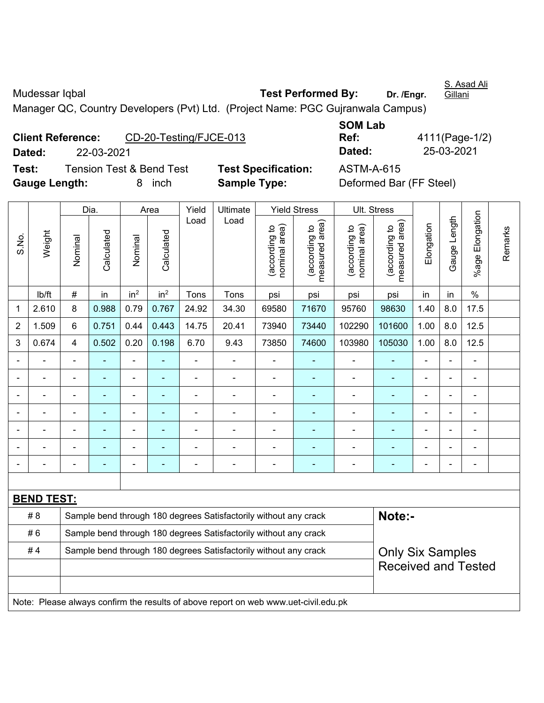Mudessar Iqbal **Test Performed By:** Dr. /Engr.

S. Asad Ali Gillani

Manager QC, Country Developers (Pvt) Ltd. (Project Name: PGC Gujranwala Campus)

|               |                          |                                     |                            | ---------         |                         |
|---------------|--------------------------|-------------------------------------|----------------------------|-------------------|-------------------------|
|               | <b>Client Reference:</b> | CD-20-Testing/FJCE-013              |                            | Ref:              | 4111(Pa                 |
| Dated:        | 22-03-2021               |                                     |                            | Dated:            | $25 - 03 - 2$           |
| Test:         |                          | <b>Tension Test &amp; Bend Test</b> | <b>Test Specification:</b> | <b>ASTM-A-615</b> |                         |
| Gauge Length: |                          | 8 inch                              | <b>Sample Type:</b>        |                   | Deformed Bar (FF Steel) |

**SOM Lab Ref:** 4111(Page-1/2) **Dated:** 22-03-2021 **Dated:** 25-03-2021

**Pecification:** ASTM-A-615

|             |                                                                                     |                                                                                             | Dia.           |                 | Area                                                    | Yield          | Ultimate                                                         |                                | <b>Yield Stress</b>             | Ult. Stress                    |                                 |                |              |                    |         |
|-------------|-------------------------------------------------------------------------------------|---------------------------------------------------------------------------------------------|----------------|-----------------|---------------------------------------------------------|----------------|------------------------------------------------------------------|--------------------------------|---------------------------------|--------------------------------|---------------------------------|----------------|--------------|--------------------|---------|
| S.No.       | Weight                                                                              | Nominal                                                                                     | Calculated     | Nominal         | Calculated                                              | Load           | Load                                                             | (according to<br>nominal area) | measured area)<br>(according to | nominal area)<br>(according to | measured area)<br>(according to | Elongation     | Gauge Length | Elongation<br>%age | Remarks |
|             | lb/ft                                                                               | $\#$                                                                                        | in             | in <sup>2</sup> | in <sup>2</sup>                                         | Tons           | Tons                                                             | psi                            | psi                             | psi                            | psi                             | in             | in           | $\%$               |         |
| $\mathbf 1$ | 2.610                                                                               | 8                                                                                           | 0.988          | 0.79            | 0.767                                                   | 24.92          | 34.30                                                            | 69580                          | 71670                           | 95760                          | 98630                           | 1.40           | 8.0          | 17.5               |         |
| 2           | 1.509                                                                               | 6                                                                                           | 0.751          | 0.44            | 0.443                                                   | 14.75          | 20.41                                                            | 73940                          | 73440                           | 102290                         | 101600                          | 1.00           | 8.0          | 12.5               |         |
| 3           | 0.674                                                                               | 4                                                                                           | 0.502          | 0.20            | 0.198                                                   | 6.70           | 9.43                                                             | 73850                          | 74600                           | 103980                         | 105030                          | 1.00           | 8.0          | 12.5               |         |
|             |                                                                                     | $\blacksquare$                                                                              | $\blacksquare$ | ä,              | ÷,                                                      | ä,             | $\blacksquare$                                                   |                                | $\blacksquare$                  | $\blacksquare$                 | ÷                               | $\overline{a}$ |              | $\blacksquare$     |         |
|             |                                                                                     |                                                                                             |                | ä,              | $\overline{\phantom{a}}$                                |                |                                                                  |                                |                                 | ä,                             |                                 |                |              | $\blacksquare$     |         |
|             |                                                                                     | $\blacksquare$                                                                              |                | $\blacksquare$  | ÷                                                       |                | $\blacksquare$                                                   | $\blacksquare$                 |                                 | $\blacksquare$                 | ۰                               | $\blacksquare$ |              | $\blacksquare$     |         |
|             |                                                                                     | $\blacksquare$                                                                              |                | $\blacksquare$  | $\blacksquare$<br>$\blacksquare$<br>÷<br>$\blacksquare$ |                |                                                                  |                                |                                 |                                |                                 |                |              |                    |         |
|             |                                                                                     | $\blacksquare$                                                                              |                | $\blacksquare$  | ۰                                                       | $\blacksquare$ | $\blacksquare$                                                   | $\blacksquare$                 | ٠                               | $\blacksquare$                 | ۰                               | $\blacksquare$ |              | $\blacksquare$     |         |
|             |                                                                                     | $\overline{a}$                                                                              | ÷,             | ÷               | ٠                                                       | $\blacksquare$ | $\frac{1}{2}$                                                    | $\blacksquare$                 | ×,                              | $\overline{a}$                 | ۰                               | $\blacksquare$ |              | $\blacksquare$     |         |
|             |                                                                                     | $\blacksquare$                                                                              | ♠              | ä,              | ٠                                                       |                | $\blacksquare$                                                   |                                | $\blacksquare$                  | $\blacksquare$                 | ۰                               | $\blacksquare$ |              | $\blacksquare$     |         |
|             |                                                                                     |                                                                                             |                |                 |                                                         |                |                                                                  |                                |                                 |                                |                                 |                |              |                    |         |
|             | <b>BEND TEST:</b>                                                                   |                                                                                             |                |                 |                                                         |                |                                                                  |                                |                                 |                                |                                 |                |              |                    |         |
|             | # 8                                                                                 |                                                                                             |                |                 |                                                         |                | Sample bend through 180 degrees Satisfactorily without any crack |                                |                                 |                                | Note:-                          |                |              |                    |         |
|             | #6                                                                                  |                                                                                             |                |                 |                                                         |                | Sample bend through 180 degrees Satisfactorily without any crack |                                |                                 |                                |                                 |                |              |                    |         |
|             | #4                                                                                  | Sample bend through 180 degrees Satisfactorily without any crack<br><b>Only Six Samples</b> |                |                 |                                                         |                |                                                                  |                                |                                 |                                |                                 |                |              |                    |         |
|             |                                                                                     |                                                                                             |                |                 |                                                         |                |                                                                  |                                |                                 |                                | <b>Received and Tested</b>      |                |              |                    |         |
|             |                                                                                     |                                                                                             |                |                 |                                                         |                |                                                                  |                                |                                 |                                |                                 |                |              |                    |         |
|             | Note: Please always confirm the results of above report on web www.uet-civil.edu.pk |                                                                                             |                |                 |                                                         |                |                                                                  |                                |                                 |                                |                                 |                |              |                    |         |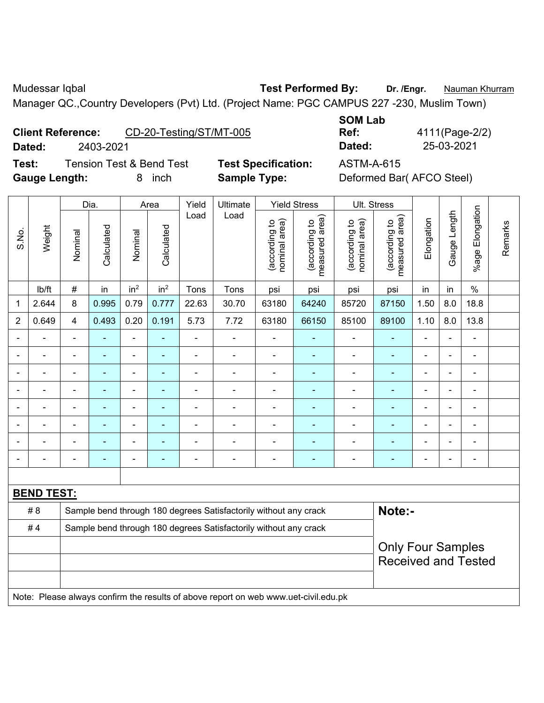Mudessar Iqbal **Test Performed By:** Dr. /Engr. **Nauman Khurram** Manager QC.,Country Developers (Pvt) Ltd. (Project Name: PGC CAMPUS 227 -230, Muslim Town)

**Client Reference:** CD-20-Testing/ST/MT-005

**SOM Lab Ref:** 4111(Page-2/2) **Dated:** 2403-2021 **Dated:** 25-03-2021

**Gauge Length:** 8 inch **Sample Type:** Deformed Bar( AFCO Steel)

**Test:** Tension Test & Bend Test **Test Specification:** ASTM-A-615

|                |                          |                                                        | Dia.                     |                 | Area            | Yield          | Ultimate                                                                            |                                | <b>Yield Stress</b>             | Ult. Stress                    |                                 |                |                |                           |         |
|----------------|--------------------------|--------------------------------------------------------|--------------------------|-----------------|-----------------|----------------|-------------------------------------------------------------------------------------|--------------------------------|---------------------------------|--------------------------------|---------------------------------|----------------|----------------|---------------------------|---------|
| S.No.          | Weight                   | Nominal                                                | Calculated               | Nominal         | Calculated      | Load           | Load                                                                                | nominal area)<br>(according to | measured area)<br>(according to | nominal area)<br>(according to | measured area)<br>(according to | Elongation     | Gauge Length   | Elongation<br>$%$ age $ $ | Remarks |
|                | lb/ft                    | $\#$                                                   | in                       | in <sup>2</sup> | in <sup>2</sup> | Tons           | Tons                                                                                | psi                            | psi                             | psi                            | psi                             | in             | in             | $\%$                      |         |
| 1              | 2.644                    | 8                                                      | 0.995                    | 0.79            | 0.777           | 22.63          | 30.70                                                                               | 63180                          | 64240                           | 85720                          | 87150                           | 1.50           | 8.0            | 18.8                      |         |
| 2              | 0.649                    | 4                                                      | 0.493                    | 0.20            | 0.191           | 5.73           | 7.72                                                                                | 63180                          | 66150                           | 85100                          | 89100                           | 1.10           | 8.0            | 13.8                      |         |
|                | $\blacksquare$           | $\blacksquare$                                         | ä,                       | ÷,              |                 | ÷,             | ÷,                                                                                  | ä,                             | ÷                               | $\qquad \qquad \blacksquare$   | $\blacksquare$                  | $\blacksquare$ | ä,             | ÷,                        |         |
|                |                          |                                                        | $\blacksquare$           | $\blacksquare$  |                 |                | Ē,                                                                                  | $\blacksquare$                 | $\blacksquare$                  | $\blacksquare$                 | ä,                              |                |                | $\blacksquare$            |         |
|                |                          |                                                        |                          | ÷               |                 |                |                                                                                     | ÷                              |                                 | ۰                              |                                 |                |                | ä,                        |         |
|                | $\overline{\phantom{0}}$ | $\blacksquare$                                         | ۰                        | $\blacksquare$  |                 |                | $\blacksquare$                                                                      | $\blacksquare$                 |                                 | ۰                              | $\blacksquare$                  | $\blacksquare$ | $\blacksquare$ | $\blacksquare$            |         |
| $\blacksquare$ | ä,                       | $\blacksquare$                                         | $\overline{\phantom{0}}$ | ÷,              |                 | $\blacksquare$ | $\overline{\phantom{a}}$                                                            | $\blacksquare$                 | $\overline{\phantom{a}}$        | ÷                              | $\blacksquare$                  | $\overline{a}$ | ÷              | $\blacksquare$            |         |
|                | $\blacksquare$           | $\blacksquare$                                         | $\blacksquare$           | ÷,              |                 | $\blacksquare$ | Ē,                                                                                  | ä,                             | Ē.                              | $\blacksquare$                 | $\blacksquare$                  | $\blacksquare$ | ä,             | $\blacksquare$            |         |
|                |                          |                                                        | $\blacksquare$           | $\blacksquare$  |                 |                | Ē,                                                                                  | $\blacksquare$                 | $\blacksquare$                  | $\blacksquare$                 | $\blacksquare$                  | $\blacksquare$ |                | $\blacksquare$            |         |
|                |                          |                                                        |                          |                 |                 |                |                                                                                     | $\blacksquare$                 |                                 |                                | ۰                               |                |                | $\blacksquare$            |         |
|                |                          |                                                        |                          |                 |                 |                |                                                                                     |                                |                                 |                                |                                 |                |                |                           |         |
|                | <b>BEND TEST:</b>        |                                                        |                          |                 |                 |                |                                                                                     |                                |                                 |                                |                                 |                |                |                           |         |
|                | # 8                      |                                                        |                          |                 |                 |                | Sample bend through 180 degrees Satisfactorily without any crack                    |                                |                                 |                                | Note:-                          |                |                |                           |         |
|                | #4                       |                                                        |                          |                 |                 |                | Sample bend through 180 degrees Satisfactorily without any crack                    |                                |                                 |                                |                                 |                |                |                           |         |
|                |                          | <b>Only Four Samples</b><br><b>Received and Tested</b> |                          |                 |                 |                |                                                                                     |                                |                                 |                                |                                 |                |                |                           |         |
|                |                          |                                                        |                          |                 |                 |                |                                                                                     |                                |                                 |                                |                                 |                |                |                           |         |
|                |                          |                                                        |                          |                 |                 |                | Note: Please always confirm the results of above report on web www.uet-civil.edu.pk |                                |                                 |                                |                                 |                |                |                           |         |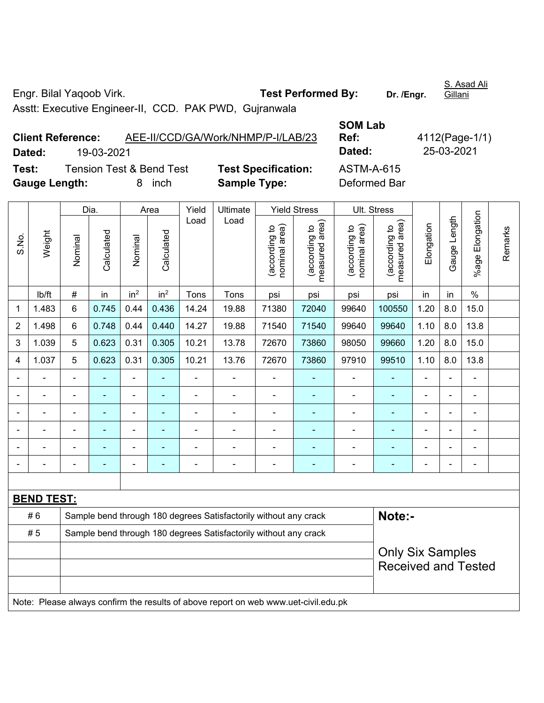Engr. Bilal Yaqoob Virk. **Test Performed By:** Dr. /Engr.

Asstt: Executive Engineer-II, CCD. PAK PWD, Gujranwala

**Client Reference:** AEE-II/CCD/GA/Work/NHMP/P-I/LAB/23 **SOM Lab Ref:** 4112(Page-1/1) **Dated:** 19-03-2021 **Dated:** 25-03-2021 **Test:** Tension Test & Bend Test **Test Specification:** ASTM-A-615 **Gauge Length:** 8 inch **Sample Type:** Deformed Bar

|                |                   |                                                                                     | Dia.           |                          | Area            | Yield          | Ultimate                                                         |                                | <b>Yield Stress</b>                |                                | Ult. Stress                     |                |                |                           |         |
|----------------|-------------------|-------------------------------------------------------------------------------------|----------------|--------------------------|-----------------|----------------|------------------------------------------------------------------|--------------------------------|------------------------------------|--------------------------------|---------------------------------|----------------|----------------|---------------------------|---------|
| S.No.          | Weight            | Nominal                                                                             | Calculated     | Nominal                  | Calculated      | Load           | Load                                                             | nominal area)<br>(according to | area)<br>(according to<br>measured | nominal area)<br>(according to | measured area)<br>(according to | Elongation     | Gauge Length   | Elongation<br>$%$ age $ $ | Remarks |
|                | lb/ft             | #                                                                                   | in             | in <sup>2</sup>          | in <sup>2</sup> | Tons           | Tons                                                             | psi                            | psi                                | psi                            | psi                             | in.            | in             | $\%$                      |         |
| 1              | 1.483             | 6                                                                                   | 0.745          | 0.44                     | 0.436           | 14.24          | 19.88                                                            | 71380                          | 72040                              | 99640                          | 100550                          | 1.20           | 8.0            | 15.0                      |         |
| 2              | 1.498             | 6                                                                                   | 0.748          | 0.44                     | 0.440           | 14.27          | 19.88                                                            | 71540                          | 71540                              | 99640                          | 99640                           | 1.10           | 8.0            | 13.8                      |         |
| 3              | 1.039             | 5                                                                                   | 0.623          | 0.31                     | 0.305           | 10.21          | 13.78                                                            | 72670                          | 73860                              | 98050                          | 99660                           | 1.20           | 8.0            | 15.0                      |         |
| 4              | 1.037             | 5                                                                                   | 0.623          | 0.31                     | 0.305           | 10.21          | 13.76                                                            | 72670                          | 73860                              | 97910                          | 99510                           | 1.10           | 8.0            | 13.8                      |         |
| $\blacksquare$ |                   | $\overline{\phantom{0}}$                                                            | $\blacksquare$ | $\overline{\phantom{a}}$ | ٠               | $\blacksquare$ | ÷,                                                               | $\blacksquare$                 | $\overline{\phantom{a}}$           | $\qquad \qquad \blacksquare$   | $\blacksquare$                  | ÷,             | $\blacksquare$ | ÷                         |         |
|                | ÷.                | ä,                                                                                  | ä,             | $\blacksquare$           | $\blacksquare$  | $\blacksquare$ | $\frac{1}{2}$                                                    | $\blacksquare$                 | $\blacksquare$                     | ÷,                             | $\blacksquare$                  | ä,             | ä,             | $\blacksquare$            |         |
|                |                   | $\blacksquare$                                                                      | $\blacksquare$ | $\blacksquare$           | ٠               | $\blacksquare$ | $\blacksquare$                                                   | $\blacksquare$                 | $\blacksquare$                     | ä,                             | $\blacksquare$                  | $\blacksquare$ | $\blacksquare$ | ä,                        |         |
|                |                   |                                                                                     |                |                          |                 |                |                                                                  |                                |                                    | L.                             | ۰                               |                |                | $\blacksquare$            |         |
|                |                   |                                                                                     |                |                          |                 |                |                                                                  |                                |                                    |                                |                                 |                |                |                           |         |
| $\blacksquare$ |                   | $\blacksquare$                                                                      | $\blacksquare$ | ۰                        | ٠               | $\blacksquare$ | $\blacksquare$                                                   | $\blacksquare$                 | $\overline{\phantom{a}}$           | ÷                              | ٠                               | ۰              | $\blacksquare$ | $\blacksquare$            |         |
|                |                   |                                                                                     |                |                          |                 |                |                                                                  |                                |                                    |                                |                                 |                |                |                           |         |
|                | <b>BEND TEST:</b> |                                                                                     |                |                          |                 |                |                                                                  |                                |                                    |                                |                                 |                |                |                           |         |
|                | #6                |                                                                                     |                |                          |                 |                | Sample bend through 180 degrees Satisfactorily without any crack |                                |                                    |                                | Note:-                          |                |                |                           |         |
|                | #5                | Sample bend through 180 degrees Satisfactorily without any crack                    |                |                          |                 |                |                                                                  |                                |                                    |                                |                                 |                |                |                           |         |
|                |                   |                                                                                     |                |                          |                 |                |                                                                  |                                |                                    |                                | <b>Only Six Samples</b>         |                |                |                           |         |
|                |                   |                                                                                     |                |                          |                 |                |                                                                  |                                |                                    |                                | <b>Received and Tested</b>      |                |                |                           |         |
|                |                   |                                                                                     |                |                          |                 |                |                                                                  |                                |                                    |                                |                                 |                |                |                           |         |
|                |                   | Note: Please always confirm the results of above report on web www.uet-civil.edu.pk |                |                          |                 |                |                                                                  |                                |                                    |                                |                                 |                |                |                           |         |

S. Asad Ali Gillani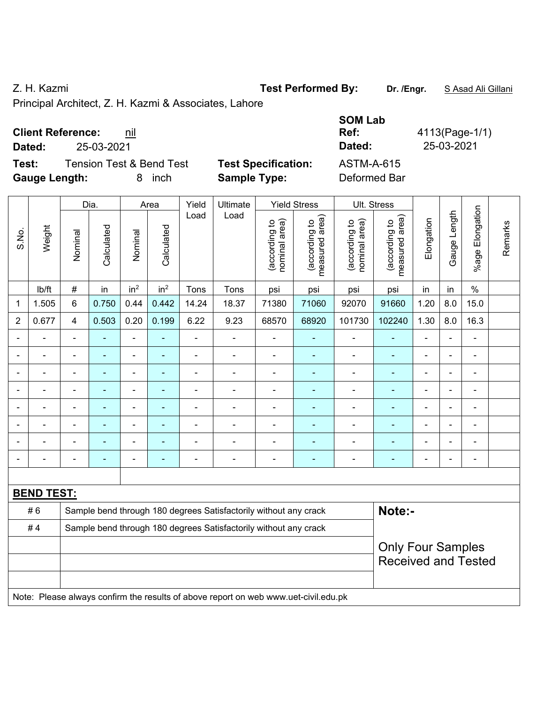Z. H. Kazmi **Test Performed By:** Dr. /Engr. **SAsad Ali Gillani** C. H. Kazmi

Principal Architect, Z. H. Kazmi & Associates, Lahore

| <b>Client Reference:</b> | nil |
|--------------------------|-----|
|--------------------------|-----|

**Dated:** 25-03-2021 **Dated:** 25-03-2021

**Test:** Tension Test & Bend Test **Test Specification: Gauge Length:** 8 inch **Sample Type:** Deformed Bar

| <b>SOM Lab</b>      |                |
|---------------------|----------------|
| Ref:                | 4113(Page-1/1) |
| Dated:              | 25-03-2021     |
| ASTM-A-615          |                |
| <b>Deformed Rar</b> |                |

|                |                   |                                                                            | Dia.           |                 | Area            | Yield          | Ultimate                                                                            |                                | <b>Yield Stress</b>             |                                | Ult. Stress                                            |                |                |                         |         |
|----------------|-------------------|----------------------------------------------------------------------------|----------------|-----------------|-----------------|----------------|-------------------------------------------------------------------------------------|--------------------------------|---------------------------------|--------------------------------|--------------------------------------------------------|----------------|----------------|-------------------------|---------|
| S.No.          | Weight            | Nominal                                                                    | Calculated     | Nominal         | Calculated      | Load           | Load                                                                                | nominal area)<br>(according to | (according to<br>measured area) | (according to<br>nominal area) | (according to<br>measured area)                        | Elongation     | Gauge Length   | Elongation<br>$%$ age I | Remarks |
|                | Ib/ft             | $\#$                                                                       | in             | in <sup>2</sup> | in <sup>2</sup> | Tons           | Tons                                                                                | psi                            | psi                             | psi                            | psi                                                    | in             | in             | $\frac{0}{0}$           |         |
| 1              | 1.505             | 6                                                                          | 0.750          | 0.44            | 0.442           | 14.24          | 18.37                                                                               | 71380                          | 71060                           | 92070                          | 91660                                                  | 1.20           | 8.0            | 15.0                    |         |
| $\overline{2}$ | 0.677             | $\overline{4}$                                                             | 0.503          | 0.20            | 0.199           | 6.22           | 9.23                                                                                | 68570                          | 68920                           | 101730                         | 102240                                                 | 1.30           | 8.0            | 16.3                    |         |
|                |                   |                                                                            |                | $\blacksquare$  |                 | ä,             |                                                                                     |                                |                                 |                                |                                                        |                |                |                         |         |
|                |                   | $\blacksquare$                                                             | ä,             | ÷,              | $\overline{a}$  | ä,             | ÷                                                                                   | L,                             | ٠                               | $\blacksquare$                 | $\overline{\phantom{0}}$                               | $\blacksquare$ | ä,             | ÷,                      |         |
| $\blacksquare$ | $\blacksquare$    | $\blacksquare$                                                             | $\blacksquare$ | $\blacksquare$  | $\blacksquare$  | $\blacksquare$ | ä,                                                                                  | $\blacksquare$                 | ٠                               | $\blacksquare$                 | $\blacksquare$                                         | $\blacksquare$ | $\blacksquare$ | ä,                      |         |
|                |                   | $\blacksquare$                                                             | ä,             | $\blacksquare$  | $\blacksquare$  | ä,             | ä,                                                                                  | ä,                             | $\blacksquare$                  | $\blacksquare$                 | $\blacksquare$                                         | $\blacksquare$ |                | ä,                      |         |
|                |                   |                                                                            |                | ä,              |                 |                |                                                                                     | ÷                              | ۰                               | $\blacksquare$                 |                                                        |                |                |                         |         |
|                |                   |                                                                            |                | $\blacksquare$  |                 | $\blacksquare$ | $\blacksquare$                                                                      | ä,                             |                                 | $\overline{\phantom{0}}$       |                                                        |                |                |                         |         |
|                |                   |                                                                            |                | ÷               |                 |                | $\blacksquare$                                                                      | ä,                             | ÷                               | $\blacksquare$                 |                                                        |                |                | $\blacksquare$          |         |
| $\blacksquare$ |                   |                                                                            | ٠              | ÷               | ÷               | $\blacksquare$ | $\blacksquare$                                                                      | ä,                             | ۰                               | $\blacksquare$                 | $\overline{\phantom{0}}$                               | $\blacksquare$ |                | ÷                       |         |
|                |                   |                                                                            |                |                 |                 |                |                                                                                     |                                |                                 |                                |                                                        |                |                |                         |         |
|                | <b>BEND TEST:</b> |                                                                            |                |                 |                 |                |                                                                                     |                                |                                 |                                |                                                        |                |                |                         |         |
|                | #6                | Note:-<br>Sample bend through 180 degrees Satisfactorily without any crack |                |                 |                 |                |                                                                                     |                                |                                 |                                |                                                        |                |                |                         |         |
|                | #4                |                                                                            |                |                 |                 |                | Sample bend through 180 degrees Satisfactorily without any crack                    |                                |                                 |                                |                                                        |                |                |                         |         |
|                |                   |                                                                            |                |                 |                 |                |                                                                                     |                                |                                 |                                | <b>Only Four Samples</b><br><b>Received and Tested</b> |                |                |                         |         |
|                |                   |                                                                            |                |                 |                 |                | Note: Please always confirm the results of above report on web www.uet-civil.edu.pk |                                |                                 |                                |                                                        |                |                |                         |         |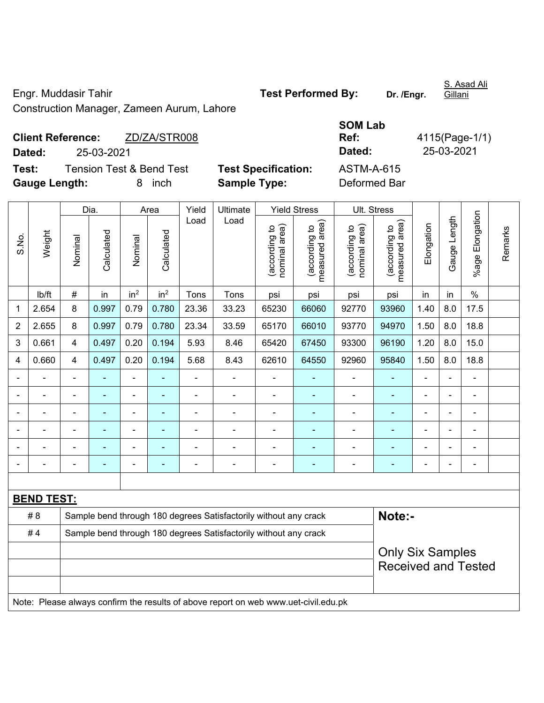Engr. Muddasir Tahir **Test Performed By:** Dr. /Engr.

S. Asad Ali

Construction Manager, Zameen Aurum, Lahore

|                             | <b>Client Reference:</b> | ZD/ZA/STR008                        |                            | Ref:       | 4115(Page-1/ |
|-----------------------------|--------------------------|-------------------------------------|----------------------------|------------|--------------|
| Dated:                      | 25-03-2021               |                                     |                            | Dated:     | 25-03-2021   |
| Test:                       |                          | <b>Tension Test &amp; Bend Test</b> | <b>Test Specification:</b> | ASTM-A-615 |              |
| $\sim$ $\sim$ $\sim$ $\sim$ |                          |                                     | ________                   |            |              |

**Test Specification: Gauge Length:** 8 inch **Sample Type:** Deformed Bar

| SOM Lab       |                |
|---------------|----------------|
| Ref:          | 4115(Page-1/1) |
| <b>Dated:</b> | 25-03-2021     |
| ASTM-A-615    |                |
| Deformed Rar  |                |

|                                                                        |                                                                                     | Dia.           |                | Area            |                 | Yield          | Ultimate                                                         |                                | <b>Yield Stress</b><br>Ult. Stress |                                |                                                       |                |                |                 |         |
|------------------------------------------------------------------------|-------------------------------------------------------------------------------------|----------------|----------------|-----------------|-----------------|----------------|------------------------------------------------------------------|--------------------------------|------------------------------------|--------------------------------|-------------------------------------------------------|----------------|----------------|-----------------|---------|
| S.No.                                                                  | Weight                                                                              | Nominal        | Calculated     | Nominal         | Calculated      | Load           | Load                                                             | nominal area)<br>(according to | (according to<br>measured area)    | nominal area)<br>(according to | (according to<br>measured area)                       | Elongation     | Gauge Length   | %age Elongation | Remarks |
|                                                                        | lb/ft                                                                               | $\#$           | in             | in <sup>2</sup> | in <sup>2</sup> | Tons           | Tons                                                             | psi                            | psi                                | psi                            | psi                                                   | in             | in             | $\%$            |         |
| 1                                                                      | 2.654                                                                               | 8              | 0.997          | 0.79            | 0.780           | 23.36          | 33.23                                                            | 65230                          | 66060                              | 92770                          | 93960                                                 | 1.40           | 8.0            | 17.5            |         |
| $\overline{2}$                                                         | 2.655                                                                               | 8              | 0.997          | 0.79            | 0.780           | 23.34          | 33.59                                                            | 65170                          | 66010                              | 93770                          | 94970                                                 | 1.50           | 8.0            | 18.8            |         |
| 3                                                                      | 0.661                                                                               | 4              | 0.497          | 0.20            | 0.194           | 5.93           | 8.46                                                             | 65420                          | 67450                              | 93300                          | 96190                                                 | 1.20           | 8.0            | 15.0            |         |
| 4                                                                      | 0.660                                                                               | 4              | 0.497          | 0.20            | 0.194           | 5.68           | 8.43                                                             | 62610                          | 64550                              | 92960                          | 95840                                                 | 1.50           | 8.0            | 18.8            |         |
|                                                                        | $\blacksquare$                                                                      | $\blacksquare$ | ä,             | ÷,              |                 | ÷,             | ä,                                                               | L,                             |                                    | ÷,                             | $\blacksquare$                                        | ä,             | ä,             | ÷,              |         |
|                                                                        |                                                                                     |                |                |                 | ۰               | $\blacksquare$ | $\blacksquare$                                                   | $\blacksquare$                 |                                    | $\overline{\phantom{0}}$       | $\blacksquare$                                        |                |                | $\blacksquare$  |         |
| $\blacksquare$                                                         | $\blacksquare$                                                                      | $\blacksquare$ | $\blacksquare$ |                 | $\blacksquare$  |                | $\blacksquare$                                                   | $\blacksquare$                 |                                    | $\overline{\phantom{a}}$       |                                                       | $\blacksquare$ |                | $\blacksquare$  |         |
| $\blacksquare$                                                         | $\blacksquare$                                                                      | $\blacksquare$ | $\blacksquare$ | $\blacksquare$  | ٠               | $\blacksquare$ | $\blacksquare$                                                   | $\blacksquare$                 | $\overline{\phantom{0}}$           | $\blacksquare$                 | $\blacksquare$                                        | $\blacksquare$ | $\blacksquare$ | $\blacksquare$  |         |
| $\blacksquare$                                                         |                                                                                     | $\blacksquare$ | $\blacksquare$ | ٠               |                 |                | $\blacksquare$                                                   | $\blacksquare$                 |                                    | $\overline{\phantom{0}}$       | $\blacksquare$                                        | $\blacksquare$ |                | $\blacksquare$  |         |
| $\blacksquare$                                                         | $\blacksquare$                                                                      | $\blacksquare$ | ä,             | Ē,              | ä,              | ä,             | $\blacksquare$                                                   | $\blacksquare$                 |                                    | ÷,                             | $\blacksquare$                                        | $\blacksquare$ |                | $\blacksquare$  |         |
|                                                                        |                                                                                     |                |                |                 |                 |                |                                                                  |                                |                                    |                                |                                                       |                |                |                 |         |
|                                                                        | <b>BEND TEST:</b>                                                                   |                |                |                 |                 |                |                                                                  |                                |                                    |                                |                                                       |                |                |                 |         |
|                                                                        | # 8                                                                                 |                |                |                 |                 |                | Sample bend through 180 degrees Satisfactorily without any crack |                                |                                    |                                |                                                       | Note:-         |                |                 |         |
| #4<br>Sample bend through 180 degrees Satisfactorily without any crack |                                                                                     |                |                |                 |                 |                |                                                                  |                                |                                    |                                |                                                       |                |                |                 |         |
|                                                                        |                                                                                     |                |                |                 |                 |                |                                                                  |                                |                                    |                                | <b>Only Six Samples</b><br><b>Received and Tested</b> |                |                |                 |         |
|                                                                        | Note: Please always confirm the results of above report on web www.uet-civil.edu.pk |                |                |                 |                 |                |                                                                  |                                |                                    |                                |                                                       |                |                |                 |         |

Gillani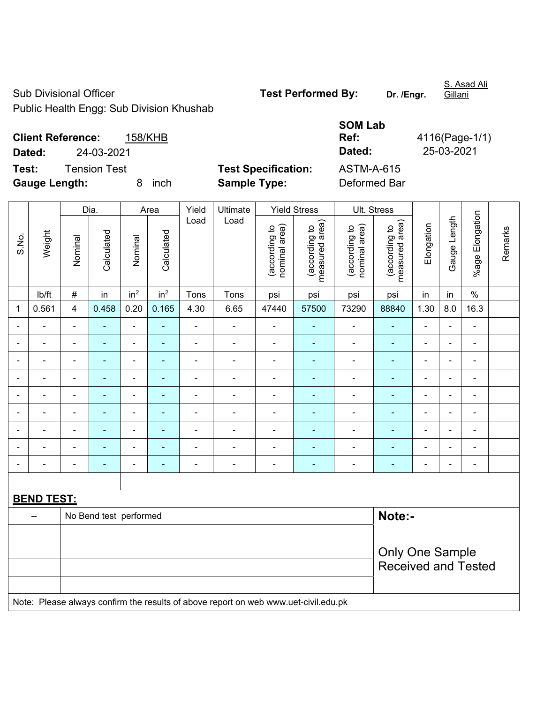Sub Divisional Officer **Test Performed By:** Dr. /Engr.

S. Asad Ali Gillani

Public Health Engg: Sub Division Khushab

| <b>SOM Lab</b>    |                |
|-------------------|----------------|
| Ref:              | 4116(Page-1/1) |
| Dated:            | 25-03-2021     |
| <b>ASTM-A-615</b> |                |
|                   |                |

**Client Reference:** 158/KHB **Dated:** 24-03-2021 **Dated:** 25-03-2021 **Test:** Tension Test **Test Specification:** 

**Gauge Length:** 8 inch **Sample Type:** Deformed Bar

|                | Weight            | Dia.                   |                          | Area            |                 | Yield          | Ultimate                                                                            | <b>Yield Stress</b>            |                                 |                                | Ult. Stress                     |                          |                |                          |         |  |
|----------------|-------------------|------------------------|--------------------------|-----------------|-----------------|----------------|-------------------------------------------------------------------------------------|--------------------------------|---------------------------------|--------------------------------|---------------------------------|--------------------------|----------------|--------------------------|---------|--|
| S.No.          |                   | Nominal                | Calculated               | Nominal         | Calculated      | Load           | Load                                                                                | nominal area)<br>(according to | (according to<br>measured area) | nominal area)<br>(according to | (according to<br>measured area) | Elongation               | Gauge Length   | %age Elongation          | Remarks |  |
|                | lb/ft             | $\#$                   | in                       | in <sup>2</sup> | in <sup>2</sup> | Tons           | Tons                                                                                | psi                            | psi                             | psi                            | psi                             | in                       | in             | $\%$                     |         |  |
| 1              | 0.561             | 4                      | 0.458                    | 0.20            | 0.165           | 4.30           | 6.65                                                                                | 47440                          | 57500                           | 73290                          | 88840                           | 1.30                     | 8.0            | 16.3                     |         |  |
| $\blacksquare$ |                   | $\blacksquare$         | ÷,                       | $\blacksquare$  | $\blacksquare$  | $\blacksquare$ | $\blacksquare$                                                                      | $\blacksquare$                 | $\blacksquare$                  | $\blacksquare$                 | $\blacksquare$                  | $\overline{\phantom{a}}$ | $\blacksquare$ | $\blacksquare$           |         |  |
|                |                   | $\blacksquare$         | $\blacksquare$           | $\blacksquare$  | $\blacksquare$  | $\blacksquare$ | $\overline{\phantom{a}}$                                                            | $\blacksquare$                 | $\blacksquare$                  | $\overline{a}$                 | $\blacksquare$                  | $\overline{\phantom{a}}$ | $\blacksquare$ | $\overline{\phantom{a}}$ |         |  |
| -              | $\overline{a}$    | $\blacksquare$         | $\blacksquare$           | $\frac{1}{2}$   | $\blacksquare$  | $\blacksquare$ | $\blacksquare$                                                                      | $\blacksquare$                 | ÷                               | $\overline{\phantom{a}}$       | $\blacksquare$                  | $\blacksquare$           | $\blacksquare$ | $\blacksquare$           |         |  |
|                |                   |                        | $\blacksquare$           | $\blacksquare$  |                 |                |                                                                                     |                                |                                 |                                |                                 |                          |                | $\blacksquare$           |         |  |
| $\blacksquare$ |                   |                        | $\overline{\phantom{0}}$ | $\blacksquare$  |                 | $\blacksquare$ | $\blacksquare$                                                                      | $\blacksquare$                 | $\blacksquare$                  | $\blacksquare$                 |                                 | $\blacksquare$           |                | $\blacksquare$           |         |  |
| $\blacksquare$ |                   | $\blacksquare$         | $\blacksquare$           | $\blacksquare$  | ۰               | $\blacksquare$ | $\blacksquare$                                                                      | $\blacksquare$                 | ٠                               | $\blacksquare$                 | $\blacksquare$                  | $\blacksquare$           | $\blacksquare$ | ä,                       |         |  |
| $\blacksquare$ |                   | $\blacksquare$         | $\blacksquare$           | ÷,              | ۰               | $\blacksquare$ | $\blacksquare$                                                                      | $\blacksquare$                 | ٠                               | $\blacksquare$                 | $\blacksquare$                  | $\blacksquare$           | $\blacksquare$ | $\overline{\phantom{a}}$ |         |  |
|                | $\overline{a}$    | $\blacksquare$         | ÷                        | $\blacksquare$  | ۰               | $\blacksquare$ | $\blacksquare$                                                                      | $\blacksquare$                 | $\blacksquare$                  | $\blacksquare$                 | $\blacksquare$                  | $\blacksquare$           |                | ۰                        |         |  |
|                |                   | $\blacksquare$         | ٠                        | $\overline{a}$  | $\blacksquare$  | ä,             | $\blacksquare$                                                                      | $\blacksquare$                 | ٠                               | $\blacksquare$                 | $\blacksquare$                  | $\blacksquare$           |                | ÷,                       |         |  |
|                |                   |                        |                          |                 |                 |                |                                                                                     |                                |                                 |                                |                                 |                          |                |                          |         |  |
|                | <b>BEND TEST:</b> |                        |                          |                 |                 |                |                                                                                     |                                |                                 |                                |                                 |                          |                |                          |         |  |
|                | $\overline{a}$    |                        | No Bend test performed   |                 |                 |                |                                                                                     |                                |                                 |                                | Note:-                          |                          |                |                          |         |  |
|                |                   |                        |                          |                 |                 |                |                                                                                     |                                |                                 |                                |                                 |                          |                |                          |         |  |
|                |                   | <b>Only One Sample</b> |                          |                 |                 |                |                                                                                     |                                |                                 |                                |                                 |                          |                |                          |         |  |
|                |                   |                        |                          |                 |                 |                |                                                                                     |                                |                                 |                                | <b>Received and Tested</b>      |                          |                |                          |         |  |
|                |                   |                        |                          |                 |                 |                |                                                                                     |                                |                                 |                                |                                 |                          |                |                          |         |  |
|                |                   |                        |                          |                 |                 |                | Note: Please always confirm the results of above report on web www.uet-civil.edu.pk |                                |                                 |                                |                                 |                          |                |                          |         |  |